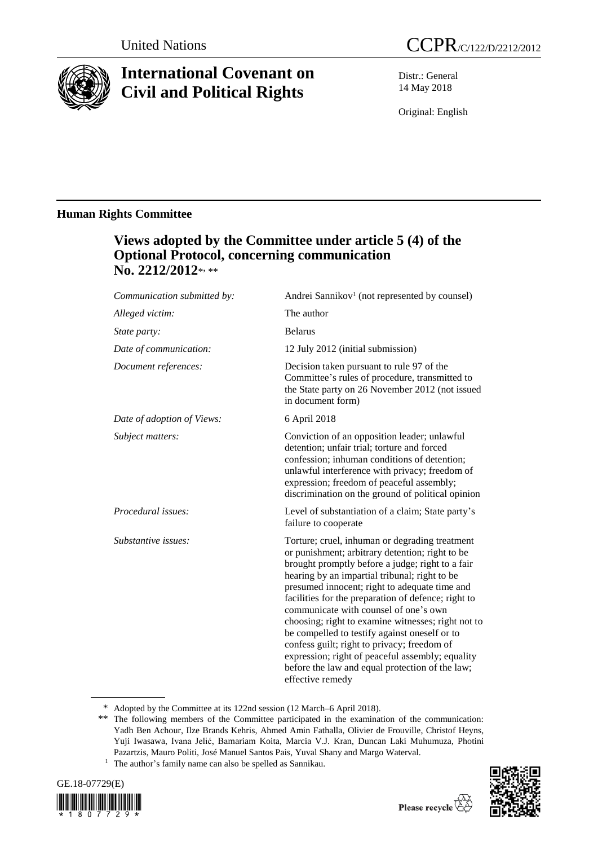

# **International Covenant on Civil and Political Rights**

Distr.: General 14 May 2018

Original: English

### **Human Rights Committee**

## **Views adopted by the Committee under article 5 (4) of the Optional Protocol, concerning communication**  No. 2212/2012\*<sub>\*\*</sub>

| Communication submitted by: | Andrei Sannikov <sup>1</sup> (not represented by counsel)                                                                                                                                                                                                                                                                                                                                                                                                                                                                                                                                                                                |
|-----------------------------|------------------------------------------------------------------------------------------------------------------------------------------------------------------------------------------------------------------------------------------------------------------------------------------------------------------------------------------------------------------------------------------------------------------------------------------------------------------------------------------------------------------------------------------------------------------------------------------------------------------------------------------|
| Alleged victim:             | The author                                                                                                                                                                                                                                                                                                                                                                                                                                                                                                                                                                                                                               |
| <i>State party:</i>         | <b>Belarus</b>                                                                                                                                                                                                                                                                                                                                                                                                                                                                                                                                                                                                                           |
| Date of communication:      | 12 July 2012 (initial submission)                                                                                                                                                                                                                                                                                                                                                                                                                                                                                                                                                                                                        |
| Document references:        | Decision taken pursuant to rule 97 of the<br>Committee's rules of procedure, transmitted to<br>the State party on 26 November 2012 (not issued<br>in document form)                                                                                                                                                                                                                                                                                                                                                                                                                                                                      |
| Date of adoption of Views:  | 6 April 2018                                                                                                                                                                                                                                                                                                                                                                                                                                                                                                                                                                                                                             |
| Subject matters:            | Conviction of an opposition leader; unlawful<br>detention; unfair trial; torture and forced<br>confession; inhuman conditions of detention;<br>unlawful interference with privacy; freedom of<br>expression; freedom of peaceful assembly;<br>discrimination on the ground of political opinion                                                                                                                                                                                                                                                                                                                                          |
| Procedural issues:          | Level of substantiation of a claim; State party's<br>failure to cooperate                                                                                                                                                                                                                                                                                                                                                                                                                                                                                                                                                                |
| Substantive issues:         | Torture; cruel, inhuman or degrading treatment<br>or punishment; arbitrary detention; right to be<br>brought promptly before a judge; right to a fair<br>hearing by an impartial tribunal; right to be<br>presumed innocent; right to adequate time and<br>facilities for the preparation of defence; right to<br>communicate with counsel of one's own<br>choosing; right to examine witnesses; right not to<br>be compelled to testify against oneself or to<br>confess guilt; right to privacy; freedom of<br>expression; right of peaceful assembly; equality<br>before the law and equal protection of the law;<br>effective remedy |

<sup>\*</sup> Adopted by the Committee at its 122nd session (12 March–6 April 2018).

<sup>1</sup> The author's family name can also be spelled as Sannikau.





<sup>\*\*</sup> The following members of the Committee participated in the examination of the communication: Yadh Ben Achour, Ilze Brands Kehris, Ahmed Amin Fathalla, Olivier de Frouville, Christof Heyns, Yuji Iwasawa, Ivana Jelić, Bamariam Koita, Marcia V.J. Kran, Duncan Laki Muhumuza, Photini Pazartzis, Mauro Politi, José Manuel Santos Pais, Yuval Shany and Margo Waterval.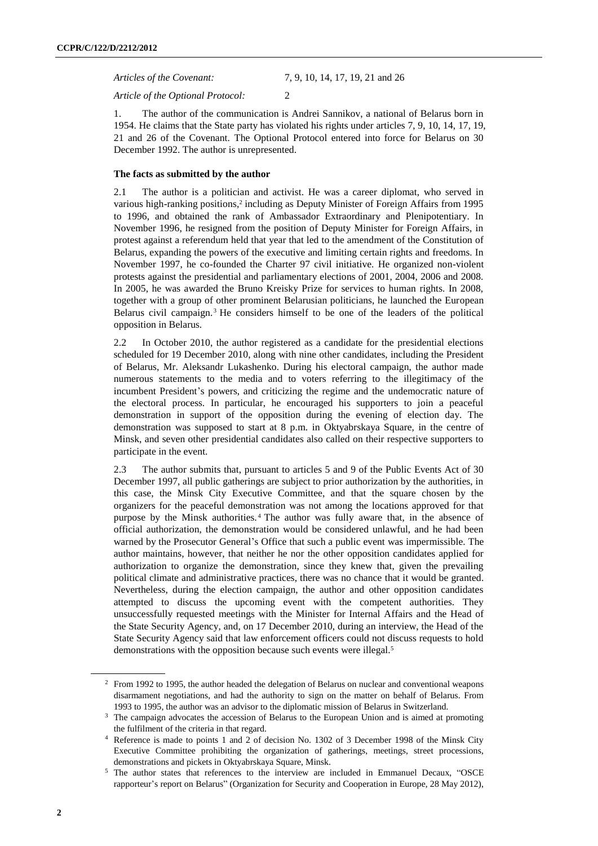*Articles of the Covenant:* 7, 9, 10, 14, 17, 19, 21 and 26

*Article of the Optional Protocol:* 2

1. The author of the communication is Andrei Sannikov, a national of Belarus born in 1954. He claims that the State party has violated his rights under articles 7, 9, 10, 14, 17, 19, 21 and 26 of the Covenant. The Optional Protocol entered into force for Belarus on 30 December 1992. The author is unrepresented.

#### **The facts as submitted by the author**

2.1 The author is a politician and activist. He was a career diplomat, who served in various high-ranking positions,<sup>2</sup> including as Deputy Minister of Foreign Affairs from 1995 to 1996, and obtained the rank of Ambassador Extraordinary and Plenipotentiary. In November 1996, he resigned from the position of Deputy Minister for Foreign Affairs, in protest against a referendum held that year that led to the amendment of the Constitution of Belarus, expanding the powers of the executive and limiting certain rights and freedoms. In November 1997, he co-founded the Charter 97 civil initiative. He organized non-violent protests against the presidential and parliamentary elections of 2001, 2004, 2006 and 2008. In 2005, he was awarded the Bruno Kreisky Prize for services to human rights. In 2008, together with a group of other prominent Belarusian politicians, he launched the European Belarus civil campaign.<sup>3</sup> He considers himself to be one of the leaders of the political opposition in Belarus.

2.2 In October 2010, the author registered as a candidate for the presidential elections scheduled for 19 December 2010, along with nine other candidates, including the President of Belarus, Mr. Aleksandr Lukashenko. During his electoral campaign, the author made numerous statements to the media and to voters referring to the illegitimacy of the incumbent President's powers, and criticizing the regime and the undemocratic nature of the electoral process. In particular, he encouraged his supporters to join a peaceful demonstration in support of the opposition during the evening of election day. The demonstration was supposed to start at 8 p.m. in Oktyabrskaya Square, in the centre of Minsk, and seven other presidential candidates also called on their respective supporters to participate in the event.

2.3 The author submits that, pursuant to articles 5 and 9 of the Public Events Act of 30 December 1997, all public gatherings are subject to prior authorization by the authorities, in this case, the Minsk City Executive Committee, and that the square chosen by the organizers for the peaceful demonstration was not among the locations approved for that purpose by the Minsk authorities.<sup>4</sup> The author was fully aware that, in the absence of official authorization, the demonstration would be considered unlawful, and he had been warned by the Prosecutor General's Office that such a public event was impermissible. The author maintains, however, that neither he nor the other opposition candidates applied for authorization to organize the demonstration, since they knew that, given the prevailing political climate and administrative practices, there was no chance that it would be granted. Nevertheless, during the election campaign, the author and other opposition candidates attempted to discuss the upcoming event with the competent authorities. They unsuccessfully requested meetings with the Minister for Internal Affairs and the Head of the State Security Agency, and, on 17 December 2010, during an interview, the Head of the State Security Agency said that law enforcement officers could not discuss requests to hold demonstrations with the opposition because such events were illegal.<sup>5</sup>

<sup>&</sup>lt;sup>2</sup> From 1992 to 1995, the author headed the delegation of Belarus on nuclear and conventional weapons disarmament negotiations, and had the authority to sign on the matter on behalf of Belarus. From 1993 to 1995, the author was an advisor to the diplomatic mission of Belarus in Switzerland.

<sup>&</sup>lt;sup>3</sup> The campaign advocates the accession of Belarus to the European Union and is aimed at promoting the fulfilment of the criteria in that regard.

<sup>4</sup> Reference is made to points 1 and 2 of decision No. 1302 of 3 December 1998 of the Minsk City Executive Committee prohibiting the organization of gatherings, meetings, street processions, demonstrations and pickets in Oktyabrskaya Square, Minsk.

<sup>5</sup> The author states that references to the interview are included in Emmanuel Decaux, "OSCE rapporteur's report on Belarus" (Organization for Security and Cooperation in Europe, 28 May 2012),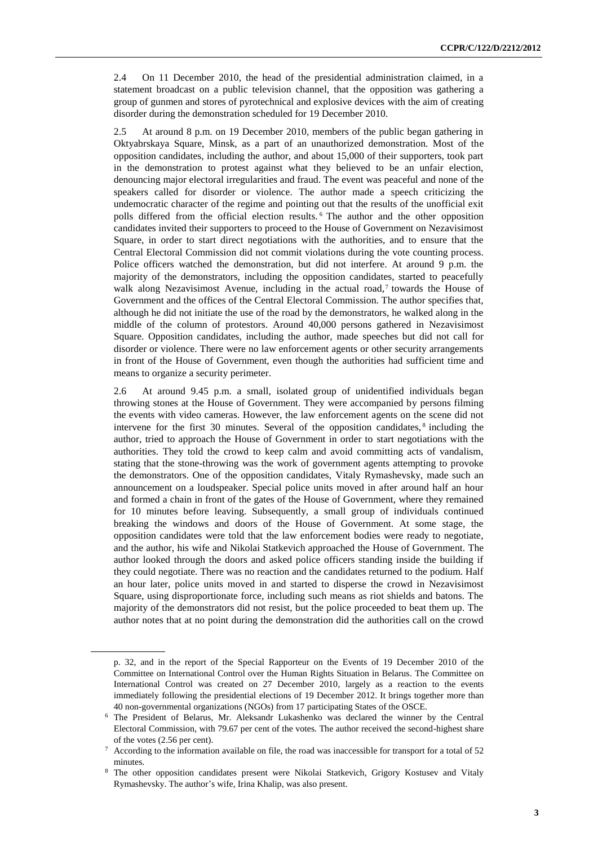2.4 On 11 December 2010, the head of the presidential administration claimed, in a statement broadcast on a public television channel, that the opposition was gathering a group of gunmen and stores of pyrotechnical and explosive devices with the aim of creating disorder during the demonstration scheduled for 19 December 2010.

2.5 At around 8 p.m. on 19 December 2010, members of the public began gathering in Oktyabrskaya Square, Minsk, as a part of an unauthorized demonstration. Most of the opposition candidates, including the author, and about 15,000 of their supporters, took part in the demonstration to protest against what they believed to be an unfair election, denouncing major electoral irregularities and fraud. The event was peaceful and none of the speakers called for disorder or violence. The author made a speech criticizing the undemocratic character of the regime and pointing out that the results of the unofficial exit polls differed from the official election results. <sup>6</sup> The author and the other opposition candidates invited their supporters to proceed to the House of Government on Nezavisimost Square, in order to start direct negotiations with the authorities, and to ensure that the Central Electoral Commission did not commit violations during the vote counting process. Police officers watched the demonstration, but did not interfere. At around 9 p.m. the majority of the demonstrators, including the opposition candidates, started to peacefully walk along Nezavisimost Avenue, including in the actual road,<sup>7</sup> towards the House of Government and the offices of the Central Electoral Commission. The author specifies that, although he did not initiate the use of the road by the demonstrators, he walked along in the middle of the column of protestors. Around 40,000 persons gathered in Nezavisimost Square. Opposition candidates, including the author, made speeches but did not call for disorder or violence. There were no law enforcement agents or other security arrangements in front of the House of Government, even though the authorities had sufficient time and means to organize a security perimeter.

2.6 At around 9.45 p.m. a small, isolated group of unidentified individuals began throwing stones at the House of Government. They were accompanied by persons filming the events with video cameras. However, the law enforcement agents on the scene did not intervene for the first 30 minutes. Several of the opposition candidates,<sup>8</sup> including the author, tried to approach the House of Government in order to start negotiations with the authorities. They told the crowd to keep calm and avoid committing acts of vandalism, stating that the stone-throwing was the work of government agents attempting to provoke the demonstrators. One of the opposition candidates, Vitaly Rymashevsky, made such an announcement on a loudspeaker. Special police units moved in after around half an hour and formed a chain in front of the gates of the House of Government, where they remained for 10 minutes before leaving. Subsequently, a small group of individuals continued breaking the windows and doors of the House of Government. At some stage, the opposition candidates were told that the law enforcement bodies were ready to negotiate, and the author, his wife and Nikolai Statkevich approached the House of Government. The author looked through the doors and asked police officers standing inside the building if they could negotiate. There was no reaction and the candidates returned to the podium. Half an hour later, police units moved in and started to disperse the crowd in Nezavisimost Square, using disproportionate force, including such means as riot shields and batons. The majority of the demonstrators did not resist, but the police proceeded to beat them up. The author notes that at no point during the demonstration did the authorities call on the crowd

p. 32, and in the report of the Special Rapporteur on the Events of 19 December 2010 of the Committee on International Control over the Human Rights Situation in Belarus. The Committee on International Control was created on 27 December 2010, largely as a reaction to the events immediately following the presidential elections of 19 December 2012. It brings together more than 40 non-governmental organizations (NGOs) from 17 participating States of the OSCE.

<sup>6</sup> The President of Belarus, Mr. Aleksandr Lukashenko was declared the winner by the Central Electoral Commission, with 79.67 per cent of the votes. The author received the second-highest share of the votes (2.56 per cent).

<sup>7</sup> According to the information available on file, the road was inaccessible for transport for a total of 52 minutes.

<sup>&</sup>lt;sup>8</sup> The other opposition candidates present were Nikolai Statkevich, Grigory Kostusev and Vitaly Rymashevsky. The author's wife, Irina Khalip, was also present.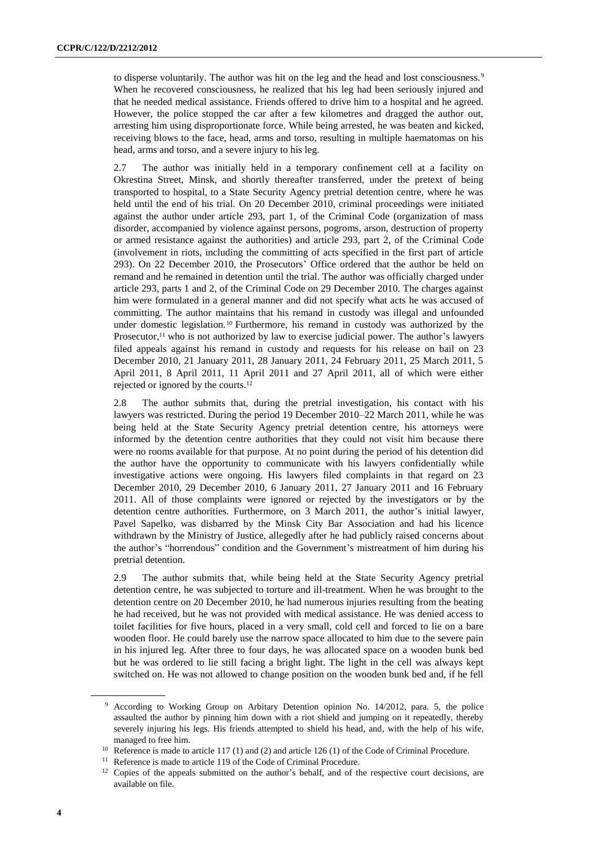to disperse voluntarily. The author was hit on the leg and the head and lost consciousness.<sup>9</sup> When he recovered consciousness, he realized that his leg had been seriously injured and that he needed medical assistance. Friends offered to drive him to a hospital and he agreed. However, the police stopped the car after a few kilometres and dragged the author out, arresting him using disproportionate force. While being arrested, he was beaten and kicked, receiving blows to the face, head, arms and torso, resulting in multiple haematomas on his head, arms and torso, and a severe injury to his leg.

2.7 The author was initially held in a temporary confinement cell at a facility on Okrestina Street, Minsk, and shortly thereafter transferred, under the pretext of being transported to hospital, to a State Security Agency pretrial detention centre, where he was held until the end of his trial. On 20 December 2010, criminal proceedings were initiated against the author under article 293, part 1, of the Criminal Code (organization of mass disorder, accompanied by violence against persons, pogroms, arson, destruction of property or armed resistance against the authorities) and article 293, part 2, of the Criminal Code (involvement in riots, including the committing of acts specified in the first part of article 293). On 22 December 2010, the Prosecutors' Office ordered that the author be held on remand and he remained in detention until the trial. The author was officially charged under article 293, parts 1 and 2, of the Criminal Code on 29 December 2010. The charges against him were formulated in a general manner and did not specify what acts he was accused of committing. The author maintains that his remand in custody was illegal and unfounded under domestic legislation.<sup>10</sup> Furthermore, his remand in custody was authorized by the Prosecutor, $11$  who is not authorized by law to exercise judicial power. The author's lawyers filed appeals against his remand in custody and requests for his release on bail on 23 December 2010, 21 January 2011, 28 January 2011, 24 February 2011, 25 March 2011, 5 April 2011, 8 April 2011, 11 April 2011 and 27 April 2011, all of which were either rejected or ignored by the courts.<sup>12</sup>

2.8 The author submits that, during the pretrial investigation, his contact with his lawyers was restricted. During the period 19 December 2010–22 March 2011, while he was being held at the State Security Agency pretrial detention centre, his attorneys were informed by the detention centre authorities that they could not visit him because there were no rooms available for that purpose. At no point during the period of his detention did the author have the opportunity to communicate with his lawyers confidentially while investigative actions were ongoing. His lawyers filed complaints in that regard on 23 December 2010, 29 December 2010, 6 January 2011, 27 January 2011 and 16 February 2011. All of those complaints were ignored or rejected by the investigators or by the detention centre authorities. Furthermore, on 3 March 2011, the author's initial lawyer, Pavel Sapelko, was disbarred by the Minsk City Bar Association and had his licence withdrawn by the Ministry of Justice, allegedly after he had publicly raised concerns about the author's "horrendous" condition and the Government's mistreatment of him during his pretrial detention.

2.9 The author submits that, while being held at the State Security Agency pretrial detention centre, he was subjected to torture and ill-treatment. When he was brought to the detention centre on 20 December 2010, he had numerous injuries resulting from the beating he had received, but he was not provided with medical assistance. He was denied access to toilet facilities for five hours, placed in a very small, cold cell and forced to lie on a bare wooden floor. He could barely use the narrow space allocated to him due to the severe pain in his injured leg. After three to four days, he was allocated space on a wooden bunk bed but he was ordered to lie still facing a bright light. The light in the cell was always kept switched on. He was not allowed to change position on the wooden bunk bed and, if he fell

<sup>9</sup> According to Working Group on Arbitary Detention opinion No. 14/2012, para. 5, the police assaulted the author by pinning him down with a riot shield and jumping on it repeatedly, thereby severely injuring his legs. His friends attempted to shield his head, and, with the help of his wife, managed to free him.

<sup>&</sup>lt;sup>10</sup> Reference is made to article 117 (1) and (2) and article 126 (1) of the Code of Criminal Procedure.

<sup>&</sup>lt;sup>11</sup> Reference is made to article 119 of the Code of Criminal Procedure.

<sup>&</sup>lt;sup>12</sup> Copies of the appeals submitted on the author's behalf, and of the respective court decisions, are available on file.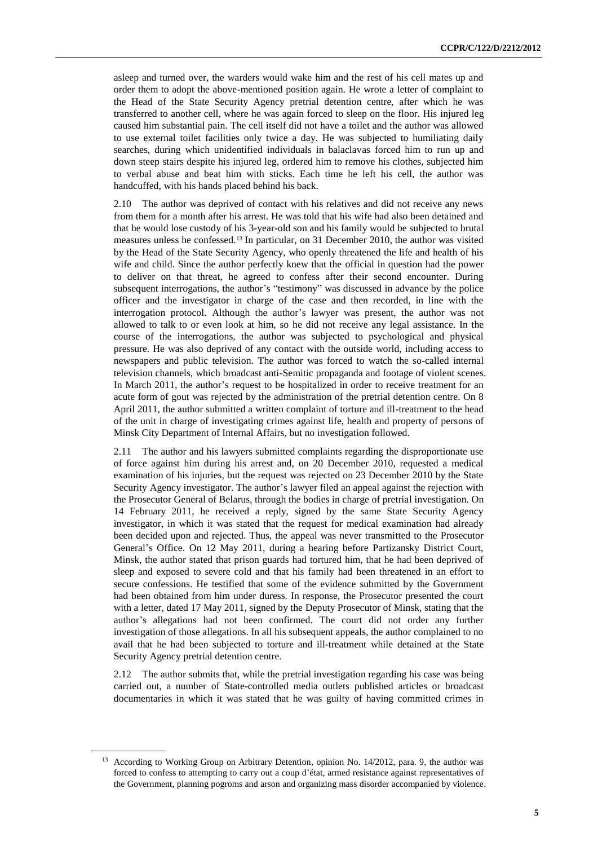asleep and turned over, the warders would wake him and the rest of his cell mates up and order them to adopt the above-mentioned position again. He wrote a letter of complaint to the Head of the State Security Agency pretrial detention centre, after which he was transferred to another cell, where he was again forced to sleep on the floor. His injured leg caused him substantial pain. The cell itself did not have a toilet and the author was allowed to use external toilet facilities only twice a day. He was subjected to humiliating daily searches, during which unidentified individuals in balaclavas forced him to run up and down steep stairs despite his injured leg, ordered him to remove his clothes, subjected him to verbal abuse and beat him with sticks. Each time he left his cell, the author was handcuffed, with his hands placed behind his back.

2.10 The author was deprived of contact with his relatives and did not receive any news from them for a month after his arrest. He was told that his wife had also been detained and that he would lose custody of his 3-year-old son and his family would be subjected to brutal measures unless he confessed.<sup>13</sup> In particular, on 31 December 2010, the author was visited by the Head of the State Security Agency, who openly threatened the life and health of his wife and child. Since the author perfectly knew that the official in question had the power to deliver on that threat, he agreed to confess after their second encounter. During subsequent interrogations, the author's "testimony" was discussed in advance by the police officer and the investigator in charge of the case and then recorded, in line with the interrogation protocol. Although the author's lawyer was present, the author was not allowed to talk to or even look at him, so he did not receive any legal assistance. In the course of the interrogations, the author was subjected to psychological and physical pressure. He was also deprived of any contact with the outside world, including access to newspapers and public television. The author was forced to watch the so-called internal television channels, which broadcast anti-Semitic propaganda and footage of violent scenes. In March 2011, the author's request to be hospitalized in order to receive treatment for an acute form of gout was rejected by the administration of the pretrial detention centre. On 8 April 2011, the author submitted a written complaint of torture and ill-treatment to the head of the unit in charge of investigating crimes against life, health and property of persons of Minsk City Department of Internal Affairs, but no investigation followed.

2.11 The author and his lawyers submitted complaints regarding the disproportionate use of force against him during his arrest and, on 20 December 2010, requested a medical examination of his injuries, but the request was rejected on 23 December 2010 by the State Security Agency investigator. The author's lawyer filed an appeal against the rejection with the Prosecutor General of Belarus, through the bodies in charge of pretrial investigation. On 14 February 2011, he received a reply, signed by the same State Security Agency investigator, in which it was stated that the request for medical examination had already been decided upon and rejected. Thus, the appeal was never transmitted to the Prosecutor General's Office. On 12 May 2011, during a hearing before Partizansky District Court, Minsk, the author stated that prison guards had tortured him, that he had been deprived of sleep and exposed to severe cold and that his family had been threatened in an effort to secure confessions. He testified that some of the evidence submitted by the Government had been obtained from him under duress. In response, the Prosecutor presented the court with a letter, dated 17 May 2011, signed by the Deputy Prosecutor of Minsk, stating that the author's allegations had not been confirmed. The court did not order any further investigation of those allegations. In all his subsequent appeals, the author complained to no avail that he had been subjected to torture and ill-treatment while detained at the State Security Agency pretrial detention centre.

2.12 The author submits that, while the pretrial investigation regarding his case was being carried out, a number of State-controlled media outlets published articles or broadcast documentaries in which it was stated that he was guilty of having committed crimes in

<sup>&</sup>lt;sup>13</sup> According to Working Group on Arbitrary Detention, opinion No. 14/2012, para. 9, the author was forced to confess to attempting to carry out a coup d'état, armed resistance against representatives of the Government, planning pogroms and arson and organizing mass disorder accompanied by violence.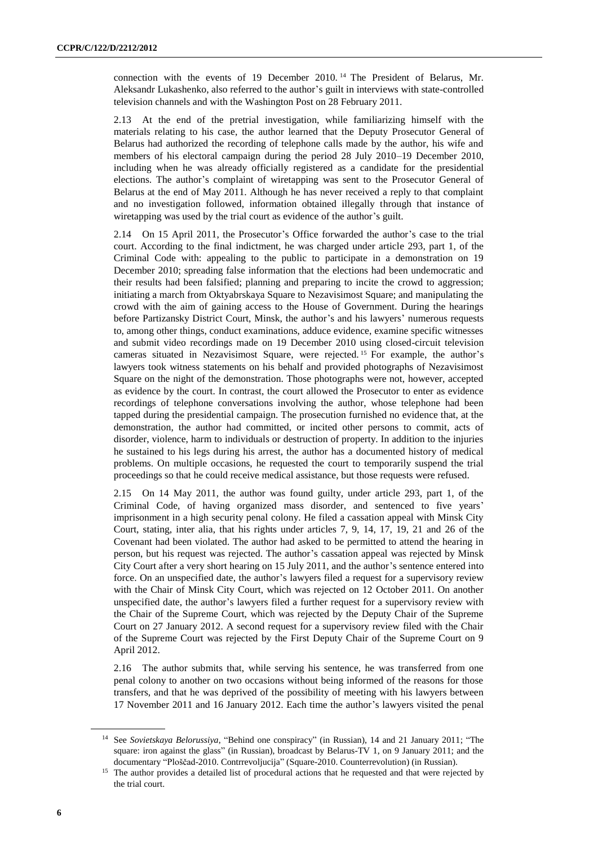connection with the events of 19 December 2010. <sup>14</sup> The President of Belarus, Mr. Aleksandr Lukashenko, also referred to the author's guilt in interviews with state-controlled television channels and with the Washington Post on 28 February 2011.

2.13 At the end of the pretrial investigation, while familiarizing himself with the materials relating to his case, the author learned that the Deputy Prosecutor General of Belarus had authorized the recording of telephone calls made by the author, his wife and members of his electoral campaign during the period 28 July 2010–19 December 2010, including when he was already officially registered as a candidate for the presidential elections. The author's complaint of wiretapping was sent to the Prosecutor General of Belarus at the end of May 2011. Although he has never received a reply to that complaint and no investigation followed, information obtained illegally through that instance of wiretapping was used by the trial court as evidence of the author's guilt.

2.14 On 15 April 2011, the Prosecutor's Office forwarded the author's case to the trial court. According to the final indictment, he was charged under article 293, part 1, of the Criminal Code with: appealing to the public to participate in a demonstration on 19 December 2010; spreading false information that the elections had been undemocratic and their results had been falsified; planning and preparing to incite the crowd to aggression; initiating a march from Oktyabrskaya Square to Nezavisimost Square; and manipulating the crowd with the aim of gaining access to the House of Government. During the hearings before Partizansky District Court, Minsk, the author's and his lawyers' numerous requests to, among other things, conduct examinations, adduce evidence, examine specific witnesses and submit video recordings made on 19 December 2010 using closed-circuit television cameras situated in Nezavisimost Square, were rejected. <sup>15</sup> For example, the author's lawyers took witness statements on his behalf and provided photographs of Nezavisimost Square on the night of the demonstration. Those photographs were not, however, accepted as evidence by the court. In contrast, the court allowed the Prosecutor to enter as evidence recordings of telephone conversations involving the author, whose telephone had been tapped during the presidential campaign. The prosecution furnished no evidence that, at the demonstration, the author had committed, or incited other persons to commit, acts of disorder, violence, harm to individuals or destruction of property. In addition to the injuries he sustained to his legs during his arrest, the author has a documented history of medical problems. On multiple occasions, he requested the court to temporarily suspend the trial proceedings so that he could receive medical assistance, but those requests were refused.

2.15 On 14 May 2011, the author was found guilty, under article 293, part 1, of the Criminal Code, of having organized mass disorder, and sentenced to five years' imprisonment in a high security penal colony. He filed a cassation appeal with Minsk City Court, stating, inter alia, that his rights under articles 7, 9, 14, 17, 19, 21 and 26 of the Covenant had been violated. The author had asked to be permitted to attend the hearing in person, but his request was rejected. The author's cassation appeal was rejected by Minsk City Court after a very short hearing on 15 July 2011, and the author's sentence entered into force. On an unspecified date, the author's lawyers filed a request for a supervisory review with the Chair of Minsk City Court, which was rejected on 12 October 2011. On another unspecified date, the author's lawyers filed a further request for a supervisory review with the Chair of the Supreme Court, which was rejected by the Deputy Chair of the Supreme Court on 27 January 2012. A second request for a supervisory review filed with the Chair of the Supreme Court was rejected by the First Deputy Chair of the Supreme Court on 9 April 2012.

2.16 The author submits that, while serving his sentence, he was transferred from one penal colony to another on two occasions without being informed of the reasons for those transfers, and that he was deprived of the possibility of meeting with his lawyers between 17 November 2011 and 16 January 2012. Each time the author's lawyers visited the penal

<sup>14</sup> See *Sovietskaya Belorussiya*, "Behind one conspiracy" (in Russian), 14 and 21 January 2011; "The square: iron against the glass" (in Russian), broadcast by Belarus-TV 1, on 9 January 2011; and the documentary "Ploščad-2010. Contrrevoljucija" (Square-2010. Counterrevolution) (in Russian).

<sup>&</sup>lt;sup>15</sup> The author provides a detailed list of procedural actions that he requested and that were rejected by the trial court.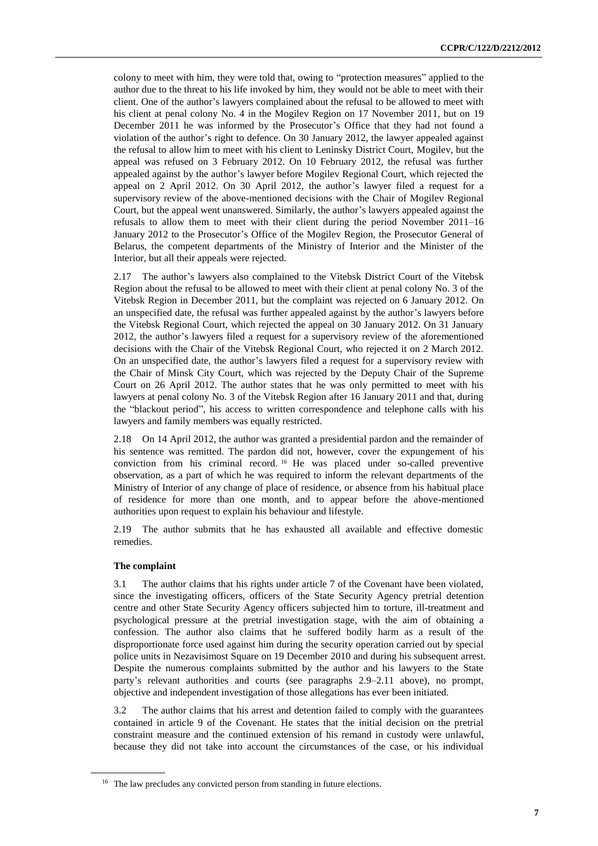colony to meet with him, they were told that, owing to "protection measures" applied to the author due to the threat to his life invoked by him, they would not be able to meet with their client. One of the author's lawyers complained about the refusal to be allowed to meet with his client at penal colony No. 4 in the Mogilev Region on 17 November 2011, but on 19 December 2011 he was informed by the Prosecutor's Office that they had not found a violation of the author's right to defence. On 30 January 2012, the lawyer appealed against the refusal to allow him to meet with his client to Leninsky District Court, Mogilev, but the appeal was refused on 3 February 2012. On 10 February 2012, the refusal was further appealed against by the author's lawyer before Mogilev Regional Court, which rejected the appeal on 2 April 2012. On 30 April 2012, the author's lawyer filed a request for a supervisory review of the above-mentioned decisions with the Chair of Mogilev Regional Court, but the appeal went unanswered. Similarly, the author's lawyers appealed against the refusals to allow them to meet with their client during the period November 2011–16 January 2012 to the Prosecutor's Office of the Mogilev Region, the Prosecutor General of Belarus, the competent departments of the Ministry of Interior and the Minister of the Interior, but all their appeals were rejected.

2.17 The author's lawyers also complained to the Vitebsk District Court of the Vitebsk Region about the refusal to be allowed to meet with their client at penal colony No. 3 of the Vitebsk Region in December 2011, but the complaint was rejected on 6 January 2012. On an unspecified date, the refusal was further appealed against by the author's lawyers before the Vitebsk Regional Court, which rejected the appeal on 30 January 2012. On 31 January 2012, the author's lawyers filed a request for a supervisory review of the aforementioned decisions with the Chair of the Vitebsk Regional Court, who rejected it on 2 March 2012. On an unspecified date, the author's lawyers filed a request for a supervisory review with the Chair of Minsk City Court, which was rejected by the Deputy Chair of the Supreme Court on 26 April 2012. The author states that he was only permitted to meet with his lawyers at penal colony No. 3 of the Vitebsk Region after 16 January 2011 and that, during the "blackout period", his access to written correspondence and telephone calls with his lawyers and family members was equally restricted.

2.18 On 14 April 2012, the author was granted a presidential pardon and the remainder of his sentence was remitted. The pardon did not, however, cover the expungement of his conviction from his criminal record. <sup>16</sup> He was placed under so-called preventive observation, as a part of which he was required to inform the relevant departments of the Ministry of Interior of any change of place of residence, or absence from his habitual place of residence for more than one month, and to appear before the above-mentioned authorities upon request to explain his behaviour and lifestyle.

2.19 The author submits that he has exhausted all available and effective domestic remedies.

#### **The complaint**

3.1 The author claims that his rights under article 7 of the Covenant have been violated, since the investigating officers, officers of the State Security Agency pretrial detention centre and other State Security Agency officers subjected him to torture, ill-treatment and psychological pressure at the pretrial investigation stage, with the aim of obtaining a confession. The author also claims that he suffered bodily harm as a result of the disproportionate force used against him during the security operation carried out by special police units in Nezavisimost Square on 19 December 2010 and during his subsequent arrest. Despite the numerous complaints submitted by the author and his lawyers to the State party's relevant authorities and courts (see paragraphs 2.9–2.11 above), no prompt, objective and independent investigation of those allegations has ever been initiated.

3.2 The author claims that his arrest and detention failed to comply with the guarantees contained in article 9 of the Covenant. He states that the initial decision on the pretrial constraint measure and the continued extension of his remand in custody were unlawful, because they did not take into account the circumstances of the case, or his individual

<sup>&</sup>lt;sup>16</sup> The law precludes any convicted person from standing in future elections.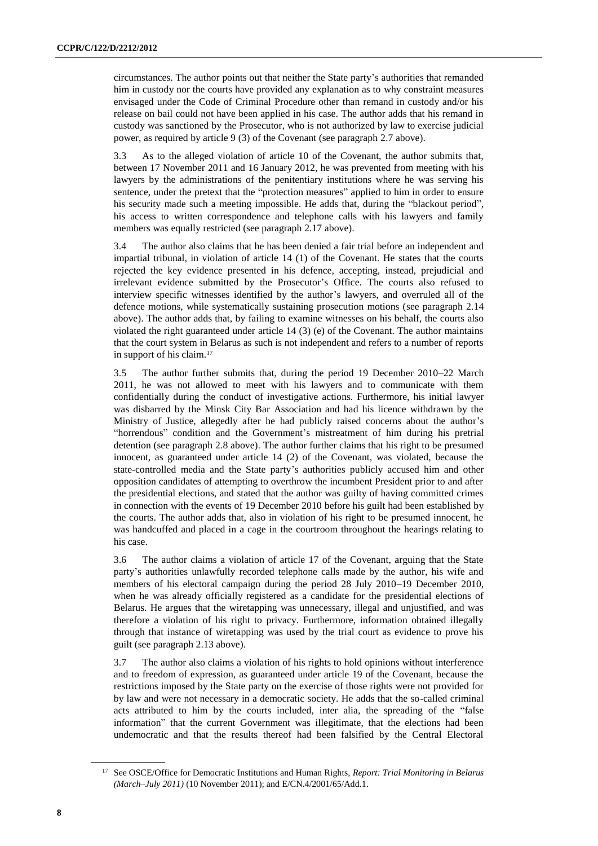circumstances. The author points out that neither the State party's authorities that remanded him in custody nor the courts have provided any explanation as to why constraint measures envisaged under the Code of Criminal Procedure other than remand in custody and/or his release on bail could not have been applied in his case. The author adds that his remand in custody was sanctioned by the Prosecutor, who is not authorized by law to exercise judicial power, as required by article 9 (3) of the Covenant (see paragraph 2.7 above).

3.3 As to the alleged violation of article 10 of the Covenant, the author submits that, between 17 November 2011 and 16 January 2012, he was prevented from meeting with his lawyers by the administrations of the penitentiary institutions where he was serving his sentence, under the pretext that the "protection measures" applied to him in order to ensure his security made such a meeting impossible. He adds that, during the "blackout period", his access to written correspondence and telephone calls with his lawyers and family members was equally restricted (see paragraph 2.17 above).

3.4 The author also claims that he has been denied a fair trial before an independent and impartial tribunal, in violation of article 14 (1) of the Covenant. He states that the courts rejected the key evidence presented in his defence, accepting, instead, prejudicial and irrelevant evidence submitted by the Prosecutor's Office. The courts also refused to interview specific witnesses identified by the author's lawyers, and overruled all of the defence motions, while systematically sustaining prosecution motions (see paragraph 2.14 above). The author adds that, by failing to examine witnesses on his behalf, the courts also violated the right guaranteed under article 14 (3) (e) of the Covenant. The author maintains that the court system in Belarus as such is not independent and refers to a number of reports in support of his claim.<sup>17</sup>

3.5 The author further submits that, during the period 19 December 2010–22 March 2011, he was not allowed to meet with his lawyers and to communicate with them confidentially during the conduct of investigative actions. Furthermore, his initial lawyer was disbarred by the Minsk City Bar Association and had his licence withdrawn by the Ministry of Justice, allegedly after he had publicly raised concerns about the author's "horrendous" condition and the Government's mistreatment of him during his pretrial detention (see paragraph 2.8 above). The author further claims that his right to be presumed innocent, as guaranteed under article 14 (2) of the Covenant, was violated, because the state-controlled media and the State party's authorities publicly accused him and other opposition candidates of attempting to overthrow the incumbent President prior to and after the presidential elections, and stated that the author was guilty of having committed crimes in connection with the events of 19 December 2010 before his guilt had been established by the courts. The author adds that, also in violation of his right to be presumed innocent, he was handcuffed and placed in a cage in the courtroom throughout the hearings relating to his case.

3.6 The author claims a violation of article 17 of the Covenant, arguing that the State party's authorities unlawfully recorded telephone calls made by the author, his wife and members of his electoral campaign during the period 28 July 2010–19 December 2010, when he was already officially registered as a candidate for the presidential elections of Belarus. He argues that the wiretapping was unnecessary, illegal and unjustified, and was therefore a violation of his right to privacy. Furthermore, information obtained illegally through that instance of wiretapping was used by the trial court as evidence to prove his guilt (see paragraph 2.13 above).

3.7 The author also claims a violation of his rights to hold opinions without interference and to freedom of expression, as guaranteed under article 19 of the Covenant, because the restrictions imposed by the State party on the exercise of those rights were not provided for by law and were not necessary in a democratic society. He adds that the so-called criminal acts attributed to him by the courts included, inter alia, the spreading of the "false information" that the current Government was illegitimate, that the elections had been undemocratic and that the results thereof had been falsified by the Central Electoral

<sup>17</sup> See OSCE/Office for Democratic Institutions and Human Rights, *Report: Trial Monitoring in Belarus (March–July 2011)* (10 November 2011); and E/CN.4/2001/65/Add.1.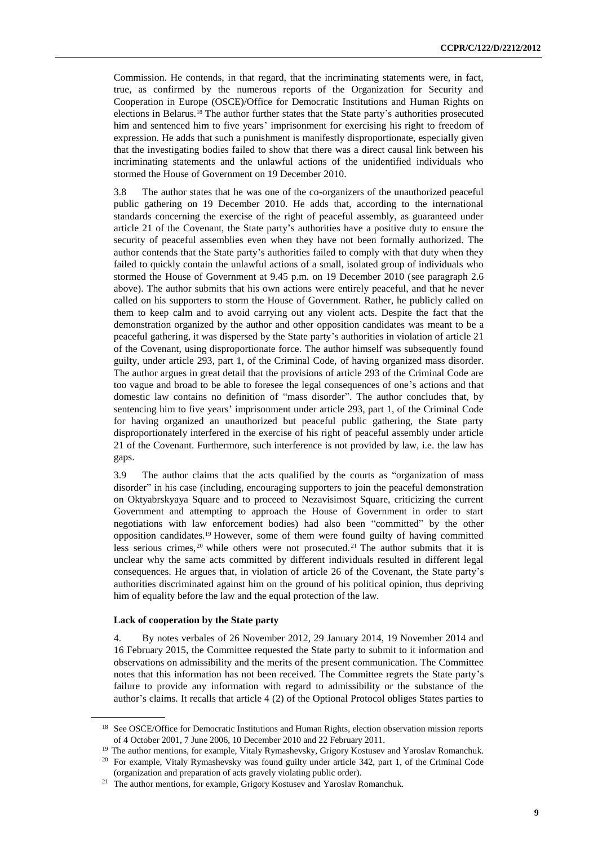Commission. He contends, in that regard, that the incriminating statements were, in fact, true, as confirmed by the numerous reports of the Organization for Security and Cooperation in Europe (OSCE)/Office for Democratic Institutions and Human Rights on elections in Belarus.<sup>18</sup> The author further states that the State party's authorities prosecuted him and sentenced him to five years' imprisonment for exercising his right to freedom of expression. He adds that such a punishment is manifestly disproportionate, especially given that the investigating bodies failed to show that there was a direct causal link between his incriminating statements and the unlawful actions of the unidentified individuals who stormed the House of Government on 19 December 2010.

3.8 The author states that he was one of the co-organizers of the unauthorized peaceful public gathering on 19 December 2010. He adds that, according to the international standards concerning the exercise of the right of peaceful assembly, as guaranteed under article 21 of the Covenant, the State party's authorities have a positive duty to ensure the security of peaceful assemblies even when they have not been formally authorized. The author contends that the State party's authorities failed to comply with that duty when they failed to quickly contain the unlawful actions of a small, isolated group of individuals who stormed the House of Government at 9.45 p.m. on 19 December 2010 (see paragraph 2.6 above). The author submits that his own actions were entirely peaceful, and that he never called on his supporters to storm the House of Government. Rather, he publicly called on them to keep calm and to avoid carrying out any violent acts. Despite the fact that the demonstration organized by the author and other opposition candidates was meant to be a peaceful gathering, it was dispersed by the State party's authorities in violation of article 21 of the Covenant, using disproportionate force. The author himself was subsequently found guilty, under article 293, part 1, of the Criminal Code, of having organized mass disorder. The author argues in great detail that the provisions of article 293 of the Criminal Code are too vague and broad to be able to foresee the legal consequences of one's actions and that domestic law contains no definition of "mass disorder". The author concludes that, by sentencing him to five years' imprisonment under article 293, part 1, of the Criminal Code for having organized an unauthorized but peaceful public gathering, the State party disproportionately interfered in the exercise of his right of peaceful assembly under article 21 of the Covenant. Furthermore, such interference is not provided by law, i.e. the law has gaps.

3.9 The author claims that the acts qualified by the courts as "organization of mass disorder" in his case (including, encouraging supporters to join the peaceful demonstration on Oktyabrskyaya Square and to proceed to Nezavisimost Square, criticizing the current Government and attempting to approach the House of Government in order to start negotiations with law enforcement bodies) had also been "committed" by the other opposition candidates.<sup>19</sup> However, some of them were found guilty of having committed less serious crimes, <sup>20</sup> while others were not prosecuted. <sup>21</sup> The author submits that it is unclear why the same acts committed by different individuals resulted in different legal consequences. He argues that, in violation of article 26 of the Covenant, the State party's authorities discriminated against him on the ground of his political opinion, thus depriving him of equality before the law and the equal protection of the law.

#### **Lack of cooperation by the State party**

4. By notes verbales of 26 November 2012, 29 January 2014, 19 November 2014 and 16 February 2015, the Committee requested the State party to submit to it information and observations on admissibility and the merits of the present communication. The Committee notes that this information has not been received. The Committee regrets the State party's failure to provide any information with regard to admissibility or the substance of the author's claims. It recalls that article 4 (2) of the Optional Protocol obliges States parties to

<sup>&</sup>lt;sup>18</sup> See OSCE/Office for Democratic Institutions and Human Rights, election observation mission reports of 4 October 2001, 7 June 2006, 10 December 2010 and 22 February 2011.

<sup>&</sup>lt;sup>19</sup> The author mentions, for example, Vitaly Rymashevsky, Grigory Kostusev and Yaroslav Romanchuk.

<sup>&</sup>lt;sup>20</sup> For example, Vitaly Rymashevsky was found guilty under article 342, part 1, of the Criminal Code (organization and preparation of acts gravely violating public order).

<sup>&</sup>lt;sup>21</sup> The author mentions, for example, Grigory Kostusev and Yaroslav Romanchuk.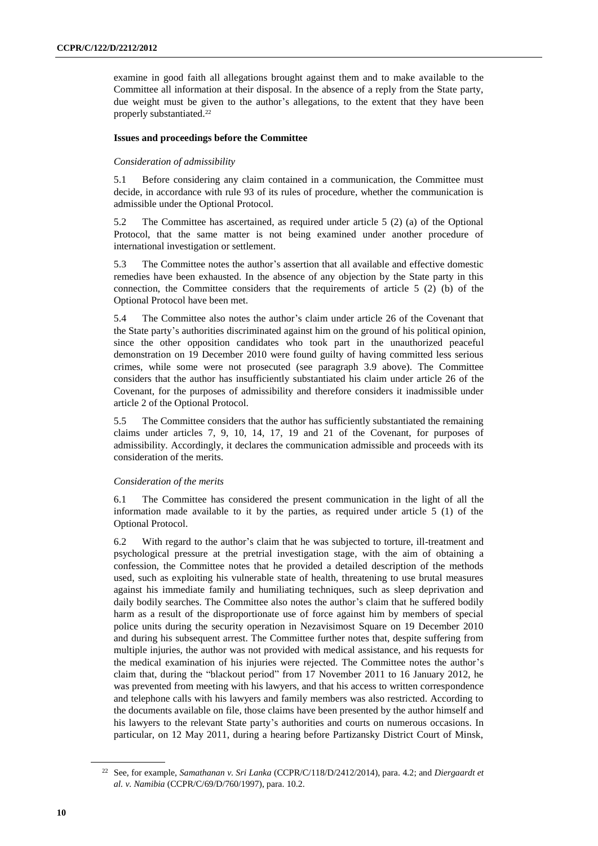examine in good faith all allegations brought against them and to make available to the Committee all information at their disposal. In the absence of a reply from the State party, due weight must be given to the author's allegations, to the extent that they have been properly substantiated.<sup>22</sup>

#### **Issues and proceedings before the Committee**

#### *Consideration of admissibility*

5.1 Before considering any claim contained in a communication, the Committee must decide, in accordance with rule 93 of its rules of procedure, whether the communication is admissible under the Optional Protocol.

5.2 The Committee has ascertained, as required under article 5 (2) (a) of the Optional Protocol, that the same matter is not being examined under another procedure of international investigation or settlement.

5.3 The Committee notes the author's assertion that all available and effective domestic remedies have been exhausted. In the absence of any objection by the State party in this connection, the Committee considers that the requirements of article 5 (2) (b) of the Optional Protocol have been met.

5.4 The Committee also notes the author's claim under article 26 of the Covenant that the State party's authorities discriminated against him on the ground of his political opinion, since the other opposition candidates who took part in the unauthorized peaceful demonstration on 19 December 2010 were found guilty of having committed less serious crimes, while some were not prosecuted (see paragraph 3.9 above). The Committee considers that the author has insufficiently substantiated his claim under article 26 of the Covenant, for the purposes of admissibility and therefore considers it inadmissible under article 2 of the Optional Protocol.

5.5 The Committee considers that the author has sufficiently substantiated the remaining claims under articles 7, 9, 10, 14, 17, 19 and 21 of the Covenant, for purposes of admissibility. Accordingly, it declares the communication admissible and proceeds with its consideration of the merits.

#### *Consideration of the merits*

6.1 The Committee has considered the present communication in the light of all the information made available to it by the parties, as required under article 5 (1) of the Optional Protocol.

6.2 With regard to the author's claim that he was subjected to torture, ill-treatment and psychological pressure at the pretrial investigation stage, with the aim of obtaining a confession, the Committee notes that he provided a detailed description of the methods used, such as exploiting his vulnerable state of health, threatening to use brutal measures against his immediate family and humiliating techniques, such as sleep deprivation and daily bodily searches. The Committee also notes the author's claim that he suffered bodily harm as a result of the disproportionate use of force against him by members of special police units during the security operation in Nezavisimost Square on 19 December 2010 and during his subsequent arrest. The Committee further notes that, despite suffering from multiple injuries, the author was not provided with medical assistance, and his requests for the medical examination of his injuries were rejected. The Committee notes the author's claim that, during the "blackout period" from 17 November 2011 to 16 January 2012, he was prevented from meeting with his lawyers, and that his access to written correspondence and telephone calls with his lawyers and family members was also restricted. According to the documents available on file, those claims have been presented by the author himself and his lawyers to the relevant State party's authorities and courts on numerous occasions. In particular, on 12 May 2011, during a hearing before Partizansky District Court of Minsk,

<sup>22</sup> See, for example, *Samathanan v. Sri Lanka* (CCPR/C/118/D/2412/2014), para. 4.2; and *Diergaardt et al. v. Namibia* (CCPR/C/69/D/760/1997), para. 10.2.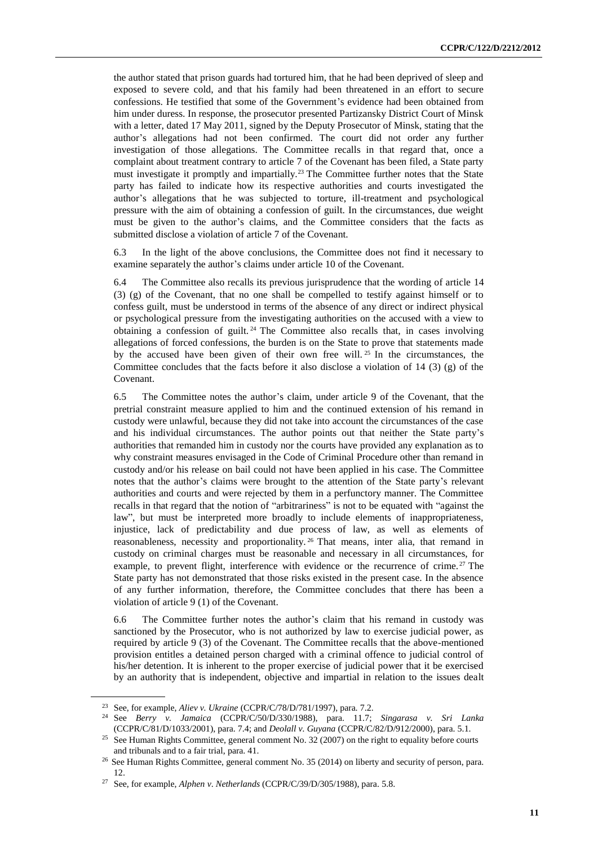the author stated that prison guards had tortured him, that he had been deprived of sleep and exposed to severe cold, and that his family had been threatened in an effort to secure confessions. He testified that some of the Government's evidence had been obtained from him under duress. In response, the prosecutor presented Partizansky District Court of Minsk with a letter, dated 17 May 2011, signed by the Deputy Prosecutor of Minsk, stating that the author's allegations had not been confirmed. The court did not order any further investigation of those allegations. The Committee recalls in that regard that, once a complaint about treatment contrary to article 7 of the Covenant has been filed, a State party must investigate it promptly and impartially.<sup>23</sup> The Committee further notes that the State party has failed to indicate how its respective authorities and courts investigated the author's allegations that he was subjected to torture, ill-treatment and psychological pressure with the aim of obtaining a confession of guilt. In the circumstances, due weight must be given to the author's claims, and the Committee considers that the facts as submitted disclose a violation of article 7 of the Covenant.

6.3 In the light of the above conclusions, the Committee does not find it necessary to examine separately the author's claims under article 10 of the Covenant.

6.4 The Committee also recalls its previous jurisprudence that the wording of article 14 (3) (g) of the Covenant, that no one shall be compelled to testify against himself or to confess guilt, must be understood in terms of the absence of any direct or indirect physical or psychological pressure from the investigating authorities on the accused with a view to obtaining a confession of guilt. <sup>24</sup> The Committee also recalls that, in cases involving allegations of forced confessions, the burden is on the State to prove that statements made by the accused have been given of their own free will. <sup>25</sup> In the circumstances, the Committee concludes that the facts before it also disclose a violation of  $14$  (3) (g) of the Covenant.

6.5 The Committee notes the author's claim, under article 9 of the Covenant, that the pretrial constraint measure applied to him and the continued extension of his remand in custody were unlawful, because they did not take into account the circumstances of the case and his individual circumstances. The author points out that neither the State party's authorities that remanded him in custody nor the courts have provided any explanation as to why constraint measures envisaged in the Code of Criminal Procedure other than remand in custody and/or his release on bail could not have been applied in his case. The Committee notes that the author's claims were brought to the attention of the State party's relevant authorities and courts and were rejected by them in a perfunctory manner. The Committee recalls in that regard that the notion of "arbitrariness" is not to be equated with "against the law", but must be interpreted more broadly to include elements of inappropriateness, injustice, lack of predictability and due process of law, as well as elements of reasonableness, necessity and proportionality. <sup>26</sup> That means, inter alia, that remand in custody on criminal charges must be reasonable and necessary in all circumstances, for example, to prevent flight, interference with evidence or the recurrence of crime.<sup>27</sup> The State party has not demonstrated that those risks existed in the present case. In the absence of any further information, therefore, the Committee concludes that there has been a violation of article 9 (1) of the Covenant.

6.6 The Committee further notes the author's claim that his remand in custody was sanctioned by the Prosecutor, who is not authorized by law to exercise judicial power, as required by article 9 (3) of the Covenant. The Committee recalls that the above-mentioned provision entitles a detained person charged with a criminal offence to judicial control of his/her detention. It is inherent to the proper exercise of judicial power that it be exercised by an authority that is independent, objective and impartial in relation to the issues dealt

<sup>23</sup> See, for example, *Aliev v. Ukraine* (CCPR/C/78/D/781/1997), para. 7.2.

<sup>24</sup> See *Berry v. Jamaica* (CCPR/C/50/D/330/1988), para. 11.7; *Singarasa v. Sri Lanka*  (CCPR/C/81/D/1033/2001), para. 7.4; and *Deolall v. Guyana* (CCPR/C/82/D/912/2000), para. 5.1.

<sup>&</sup>lt;sup>25</sup> See Human Rights Committee, general comment No. 32 (2007) on the right to equality before courts and tribunals and to a fair trial, para. 41.

<sup>26</sup> See Human Rights Committee, general comment No. 35 (2014) on liberty and security of person, para. 12.

<sup>27</sup> See, for example, *Alphen v*. *Netherlands* (CCPR/C/39/D/305/1988), para. 5.8.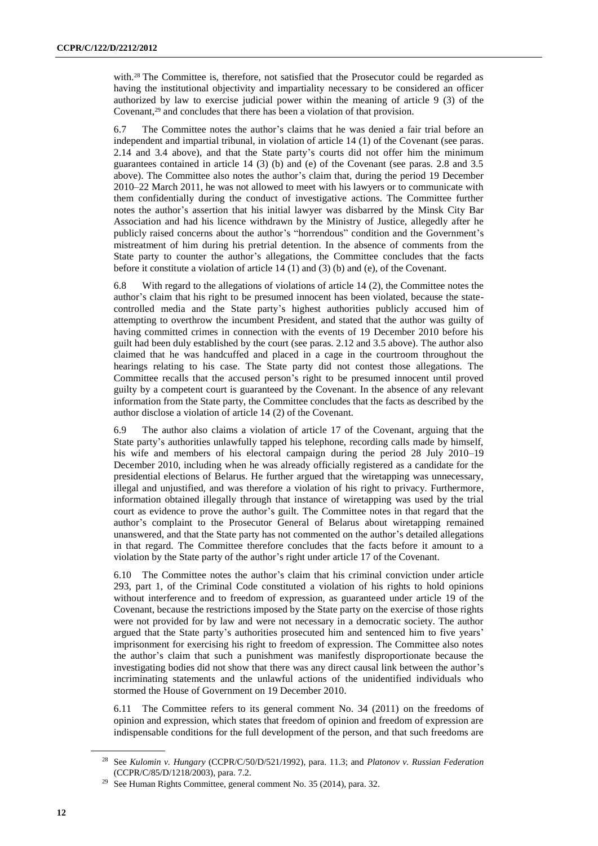with.<sup>28</sup> The Committee is, therefore, not satisfied that the Prosecutor could be regarded as having the institutional objectivity and impartiality necessary to be considered an officer authorized by law to exercise judicial power within the meaning of article 9 (3) of the Covenant,<sup>29</sup> and concludes that there has been a violation of that provision.

6.7 The Committee notes the author's claims that he was denied a fair trial before an independent and impartial tribunal, in violation of article 14 (1) of the Covenant (see paras. 2.14 and 3.4 above), and that the State party's courts did not offer him the minimum guarantees contained in article 14 (3) (b) and (e) of the Covenant (see paras. 2.8 and 3.5 above). The Committee also notes the author's claim that, during the period 19 December 2010–22 March 2011, he was not allowed to meet with his lawyers or to communicate with them confidentially during the conduct of investigative actions. The Committee further notes the author's assertion that his initial lawyer was disbarred by the Minsk City Bar Association and had his licence withdrawn by the Ministry of Justice, allegedly after he publicly raised concerns about the author's "horrendous" condition and the Government's mistreatment of him during his pretrial detention. In the absence of comments from the State party to counter the author's allegations, the Committee concludes that the facts before it constitute a violation of article 14 (1) and (3) (b) and (e), of the Covenant.

6.8 With regard to the allegations of violations of article 14 (2), the Committee notes the author's claim that his right to be presumed innocent has been violated, because the statecontrolled media and the State party's highest authorities publicly accused him of attempting to overthrow the incumbent President, and stated that the author was guilty of having committed crimes in connection with the events of 19 December 2010 before his guilt had been duly established by the court (see paras. 2.12 and 3.5 above). The author also claimed that he was handcuffed and placed in a cage in the courtroom throughout the hearings relating to his case. The State party did not contest those allegations. The Committee recalls that the accused person's right to be presumed innocent until proved guilty by a competent court is guaranteed by the Covenant. In the absence of any relevant information from the State party, the Committee concludes that the facts as described by the author disclose a violation of article 14 (2) of the Covenant.

6.9 The author also claims a violation of article 17 of the Covenant, arguing that the State party's authorities unlawfully tapped his telephone, recording calls made by himself, his wife and members of his electoral campaign during the period 28 July 2010–19 December 2010, including when he was already officially registered as a candidate for the presidential elections of Belarus. He further argued that the wiretapping was unnecessary, illegal and unjustified, and was therefore a violation of his right to privacy. Furthermore, information obtained illegally through that instance of wiretapping was used by the trial court as evidence to prove the author's guilt. The Committee notes in that regard that the author's complaint to the Prosecutor General of Belarus about wiretapping remained unanswered, and that the State party has not commented on the author's detailed allegations in that regard. The Committee therefore concludes that the facts before it amount to a violation by the State party of the author's right under article 17 of the Covenant.

6.10 The Committee notes the author's claim that his criminal conviction under article 293, part 1, of the Criminal Code constituted a violation of his rights to hold opinions without interference and to freedom of expression, as guaranteed under article 19 of the Covenant, because the restrictions imposed by the State party on the exercise of those rights were not provided for by law and were not necessary in a democratic society. The author argued that the State party's authorities prosecuted him and sentenced him to five years' imprisonment for exercising his right to freedom of expression. The Committee also notes the author's claim that such a punishment was manifestly disproportionate because the investigating bodies did not show that there was any direct causal link between the author's incriminating statements and the unlawful actions of the unidentified individuals who stormed the House of Government on 19 December 2010.

6.11 The Committee refers to its general comment No. 34 (2011) on the freedoms of opinion and expression, which states that freedom of opinion and freedom of expression are indispensable conditions for the full development of the person, and that such freedoms are

<sup>28</sup> See *Kulomin v. Hungary* (CCPR/C/50/D/521/1992), para. 11.3; and *Platonov v. Russian Federation* (CCPR/C/85/D/1218/2003), para. 7.2.

<sup>&</sup>lt;sup>29</sup> See Human Rights Committee, general comment No. 35 (2014), para. 32.